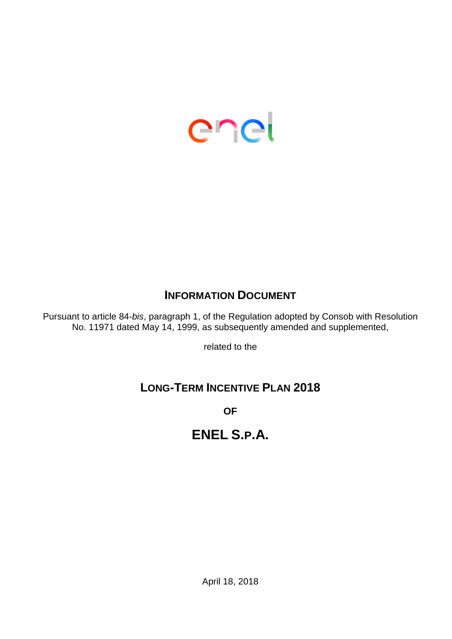

# **INFORMATION DOCUMENT**

Pursuant to article 84-*bis*, paragraph 1, of the Regulation adopted by Consob with Resolution No. 11971 dated May 14, 1999, as subsequently amended and supplemented,

related to the

# **LONG-TERM INCENTIVE PLAN 2018**

**OF**

# **ENEL S.P.A.**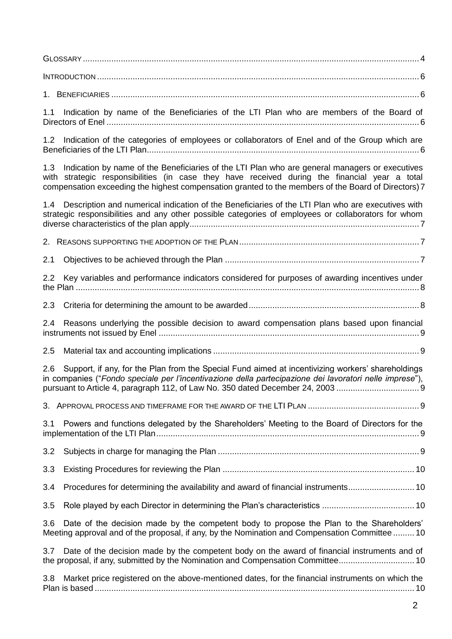GLOSSARY [..............................................................................................................................................](#page-3-0) 4 INTRODUCTION [........................................................................................................................................](#page-5-0) 6

1. BENEFICIARIES [..................................................................................................................................](#page-5-1) 6

1.1 [Indication by name of the Beneficiaries of the LTI Plan who are members of the Board of](#page-5-2)  Directors of Enel [....................................................................................................................................](#page-5-2) 6

1.2 [Indication of the categories of employees or collaborators of Enel and of the Group which are](#page-5-3)  [Beneficiaries of the LTI Plan...................................................................................................................](#page-5-3) 6

1.3 [Indication by name of the Beneficiaries of the LTI Plan who are general managers or executives](#page-6-0)  [with strategic responsibilities \(in case they have received during the financial year a total](#page-6-0)  [compensation exceeding the highest compensation granted to the members of the Board of Directors\)](#page-6-0) 7

|     | 1.4 Description and numerical indication of the Beneficiaries of the LTI Plan who are executives with<br>strategic responsibilities and any other possible categories of employees or collaborators for whom                                                                                 |
|-----|----------------------------------------------------------------------------------------------------------------------------------------------------------------------------------------------------------------------------------------------------------------------------------------------|
|     |                                                                                                                                                                                                                                                                                              |
| 2.1 |                                                                                                                                                                                                                                                                                              |
| 2.2 | Key variables and performance indicators considered for purposes of awarding incentives under                                                                                                                                                                                                |
| 2.3 |                                                                                                                                                                                                                                                                                              |
| 2.4 | Reasons underlying the possible decision to award compensation plans based upon financial                                                                                                                                                                                                    |
| 2.5 |                                                                                                                                                                                                                                                                                              |
| 2.6 | Support, if any, for the Plan from the Special Fund aimed at incentivizing workers' shareholdings<br>in companies ("Fondo speciale per l'incentivazione della partecipazione dei lavoratori nelle imprese"),<br>pursuant to Article 4, paragraph 112, of Law No. 350 dated December 24, 2003 |
|     |                                                                                                                                                                                                                                                                                              |
| 3.1 | Powers and functions delegated by the Shareholders' Meeting to the Board of Directors for the                                                                                                                                                                                                |
| 3.2 |                                                                                                                                                                                                                                                                                              |
| 3.3 |                                                                                                                                                                                                                                                                                              |
| 3.4 | Procedures for determining the availability and award of financial instruments10                                                                                                                                                                                                             |
| 3.5 |                                                                                                                                                                                                                                                                                              |
| 3.6 | Date of the decision made by the competent body to propose the Plan to the Shareholders'<br>Meeting approval and of the proposal, if any, by the Nomination and Compensation Committee  10                                                                                                   |
| 3.7 | Date of the decision made by the competent body on the award of financial instruments and of<br>the proposal, if any, submitted by the Nomination and Compensation Committee 10                                                                                                              |
| 3.8 | Market price registered on the above-mentioned dates, for the financial instruments on which the                                                                                                                                                                                             |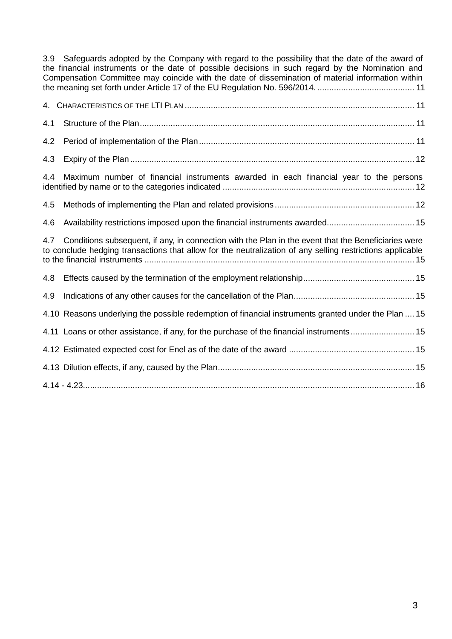3.9 [Safeguards adopted by the Company with regard to the possibility that the date of the award of](#page-10-0)  [the financial instruments or the date of possible decisions in such regard by the Nomination and](#page-10-0)  [Compensation Committee may coincide with the date of dissemination of material information within](#page-10-0)  [the meaning set forth under Article 17 of the EU Regulation No. 596/2014.](#page-10-0) ......................................... 11

| 4.1 |                                                                                                                                                                                                                  |
|-----|------------------------------------------------------------------------------------------------------------------------------------------------------------------------------------------------------------------|
| 4.2 |                                                                                                                                                                                                                  |
| 4.3 |                                                                                                                                                                                                                  |
| 4.4 | Maximum number of financial instruments awarded in each financial year to the persons                                                                                                                            |
| 4.5 |                                                                                                                                                                                                                  |
| 4.6 |                                                                                                                                                                                                                  |
| 4.7 | Conditions subsequent, if any, in connection with the Plan in the event that the Beneficiaries were<br>to conclude hedging transactions that allow for the neutralization of any selling restrictions applicable |
| 4.8 |                                                                                                                                                                                                                  |
| 4.9 |                                                                                                                                                                                                                  |
|     | 4.10 Reasons underlying the possible redemption of financial instruments granted under the Plan  15                                                                                                              |
|     | 4.11 Loans or other assistance, if any, for the purchase of the financial instruments 15                                                                                                                         |
|     |                                                                                                                                                                                                                  |
|     |                                                                                                                                                                                                                  |
|     |                                                                                                                                                                                                                  |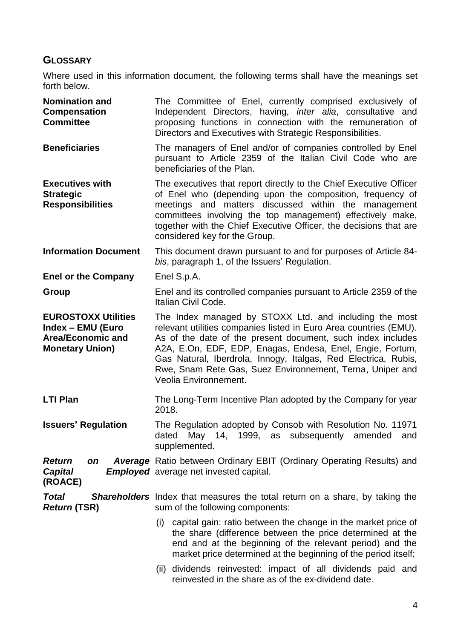# <span id="page-3-0"></span>**GLOSSARY**

Where used in this information document, the following terms shall have the meanings set forth below.

| <b>Nomination and</b><br><b>Compensation</b><br><b>Committee</b>                               | The Committee of Enel, currently comprised exclusively of<br>Independent Directors, having, <i>inter alia</i> , consultative and<br>proposing functions in connection with the remuneration of<br>Directors and Executives with Strategic Responsibilities.                                                                                                                                                     |  |  |  |
|------------------------------------------------------------------------------------------------|-----------------------------------------------------------------------------------------------------------------------------------------------------------------------------------------------------------------------------------------------------------------------------------------------------------------------------------------------------------------------------------------------------------------|--|--|--|
| <b>Beneficiaries</b>                                                                           | The managers of Enel and/or of companies controlled by Enel<br>pursuant to Article 2359 of the Italian Civil Code who are<br>beneficiaries of the Plan.                                                                                                                                                                                                                                                         |  |  |  |
| <b>Executives with</b><br><b>Strategic</b><br><b>Responsibilities</b>                          | The executives that report directly to the Chief Executive Officer<br>of Enel who (depending upon the composition, frequency of<br>meetings and matters discussed within the management<br>committees involving the top management) effectively make,<br>together with the Chief Executive Officer, the decisions that are<br>considered key for the Group.                                                     |  |  |  |
| <b>Information Document</b>                                                                    | This document drawn pursuant to and for purposes of Article 84-<br>bis, paragraph 1, of the Issuers' Regulation.                                                                                                                                                                                                                                                                                                |  |  |  |
| <b>Enel or the Company</b>                                                                     | Enel S.p.A.                                                                                                                                                                                                                                                                                                                                                                                                     |  |  |  |
| Group                                                                                          | Enel and its controlled companies pursuant to Article 2359 of the<br>Italian Civil Code.                                                                                                                                                                                                                                                                                                                        |  |  |  |
| <b>EUROSTOXX Utilities</b><br>Index - EMU (Euro<br>Area/Economic and<br><b>Monetary Union)</b> | The Index managed by STOXX Ltd. and including the most<br>relevant utilities companies listed in Euro Area countries (EMU).<br>As of the date of the present document, such index includes<br>A2A, E.On, EDF, EDP, Enagas, Endesa, Enel, Engie, Fortum,<br>Gas Natural, Iberdrola, Innogy, Italgas, Red Electrica, Rubis,<br>Rwe, Snam Rete Gas, Suez Environnement, Terna, Uniper and<br>Veolia Environnement. |  |  |  |
| <b>LTI Plan</b>                                                                                | The Long-Term Incentive Plan adopted by the Company for year<br>2018.                                                                                                                                                                                                                                                                                                                                           |  |  |  |
| <b>Issuers' Regulation</b>                                                                     | The Regulation adopted by Consob with Resolution No. 11971<br>May 14, 1999, as subsequently amended<br>dated<br>and<br>supplemented.                                                                                                                                                                                                                                                                            |  |  |  |
| <b>Return</b><br>on<br><b>Capital</b><br>(ROACE)                                               | <b>Average</b> Ratio between Ordinary EBIT (Ordinary Operating Results) and<br><b>Employed</b> average net invested capital.                                                                                                                                                                                                                                                                                    |  |  |  |
| <b>Total</b><br><b>Return (TSR)</b>                                                            | Shareholders Index that measures the total return on a share, by taking the<br>sum of the following components:                                                                                                                                                                                                                                                                                                 |  |  |  |
|                                                                                                | capital gain: ratio between the change in the market price of<br>(i)<br>the share (difference between the price determined at the<br>end and at the beginning of the relevant period) and the<br>market price determined at the beginning of the period itself;                                                                                                                                                 |  |  |  |
|                                                                                                | (ii) dividends reinvested: impact of all dividends paid and<br>reinvested in the share as of the ex-dividend date.                                                                                                                                                                                                                                                                                              |  |  |  |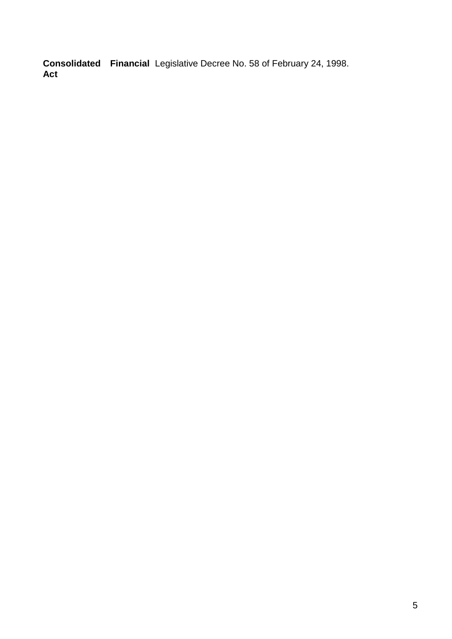**Consolidated Financial Act**  Legislative Decree No. 58 of February 24, 1998.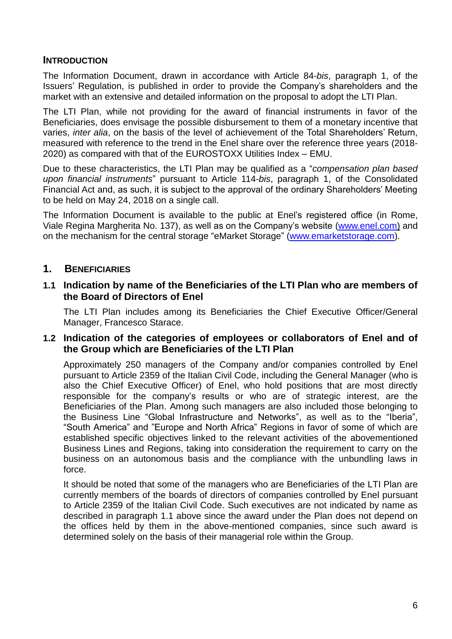#### <span id="page-5-0"></span>**INTRODUCTION**

The Information Document, drawn in accordance with Article 84-*bis*, paragraph 1, of the Issuers' Regulation, is published in order to provide the Company's shareholders and the market with an extensive and detailed information on the proposal to adopt the LTI Plan.

The LTI Plan, while not providing for the award of financial instruments in favor of the Beneficiaries, does envisage the possible disbursement to them of a monetary incentive that varies, *inter alia*, on the basis of the level of achievement of the Total Shareholders' Return, measured with reference to the trend in the Enel share over the reference three years (2018- 2020) as compared with that of the EUROSTOXX Utilities Index – EMU.

Due to these characteristics, the LTI Plan may be qualified as a "*compensation plan based upon financial instruments*" pursuant to Article 114-*bis*, paragraph 1, of the Consolidated Financial Act and, as such, it is subject to the approval of the ordinary Shareholders' Meeting to be held on May 24, 2018 on a single call.

The Information Document is available to the public at Enel's registered office (in Rome, Viale Regina Margherita No. 137), as well as on the Company's website [\(www.enel.com\)](http://www.enel.com/) and on the mechanism for the central storage "eMarket Storage" [\(www.emarketstorage.com\)](http://www.emarketstorage.com/).

#### <span id="page-5-1"></span>**1. BENEFICIARIES**

#### <span id="page-5-2"></span>**1.1 Indication by name of the Beneficiaries of the LTI Plan who are members of the Board of Directors of Enel**

The LTI Plan includes among its Beneficiaries the Chief Executive Officer/General Manager, Francesco Starace.

#### <span id="page-5-3"></span>**1.2 Indication of the categories of employees or collaborators of Enel and of the Group which are Beneficiaries of the LTI Plan**

Approximately 250 managers of the Company and/or companies controlled by Enel pursuant to Article 2359 of the Italian Civil Code, including the General Manager (who is also the Chief Executive Officer) of Enel, who hold positions that are most directly responsible for the company's results or who are of strategic interest, are the Beneficiaries of the Plan. Among such managers are also included those belonging to the Business Line "Global Infrastructure and Networks", as well as to the "Iberia", "South America" and "Europe and North Africa" Regions in favor of some of which are established specific objectives linked to the relevant activities of the abovementioned Business Lines and Regions, taking into consideration the requirement to carry on the business on an autonomous basis and the compliance with the unbundling laws in force.

It should be noted that some of the managers who are Beneficiaries of the LTI Plan are currently members of the boards of directors of companies controlled by Enel pursuant to Article 2359 of the Italian Civil Code. Such executives are not indicated by name as described in paragraph 1.1 above since the award under the Plan does not depend on the offices held by them in the above-mentioned companies, since such award is determined solely on the basis of their managerial role within the Group.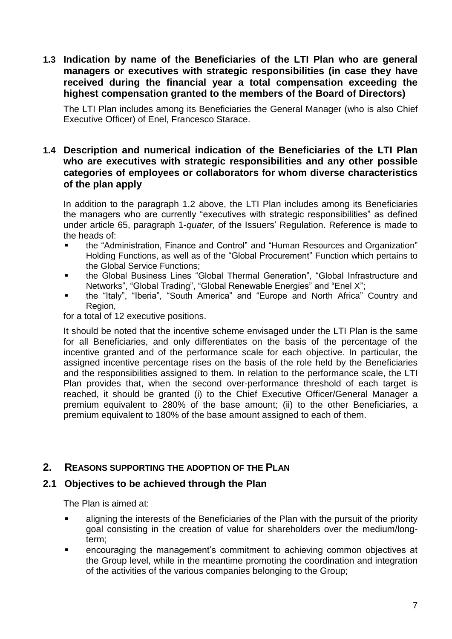<span id="page-6-0"></span>**1.3 Indication by name of the Beneficiaries of the LTI Plan who are general managers or executives with strategic responsibilities (in case they have received during the financial year a total compensation exceeding the highest compensation granted to the members of the Board of Directors)**

The LTI Plan includes among its Beneficiaries the General Manager (who is also Chief Executive Officer) of Enel, Francesco Starace.

#### <span id="page-6-1"></span>**1.4 Description and numerical indication of the Beneficiaries of the LTI Plan who are executives with strategic responsibilities and any other possible categories of employees or collaborators for whom diverse characteristics of the plan apply**

In addition to the paragraph 1.2 above, the LTI Plan includes among its Beneficiaries the managers who are currently "executives with strategic responsibilities" as defined under article 65, paragraph 1-*quater*, of the Issuers' Regulation. Reference is made to the heads of:

- the "Administration, Finance and Control" and "Human Resources and Organization" Holding Functions, as well as of the "Global Procurement" Function which pertains to the Global Service Functions;
- the Global Business Lines "Global Thermal Generation", "Global Infrastructure and Networks", "Global Trading", "Global Renewable Energies" and "Enel X";
- the "Italy", "Iberia", "South America" and "Europe and North Africa" Country and Region,

for a total of 12 executive positions.

It should be noted that the incentive scheme envisaged under the LTI Plan is the same for all Beneficiaries, and only differentiates on the basis of the percentage of the incentive granted and of the performance scale for each objective. In particular, the assigned incentive percentage rises on the basis of the role held by the Beneficiaries and the responsibilities assigned to them. In relation to the performance scale, the LTI Plan provides that, when the second over-performance threshold of each target is reached, it should be granted (i) to the Chief Executive Officer/General Manager a premium equivalent to 280% of the base amount; (ii) to the other Beneficiaries, a premium equivalent to 180% of the base amount assigned to each of them.

# <span id="page-6-2"></span>**2. REASONS SUPPORTING THE ADOPTION OF THE PLAN**

#### <span id="page-6-3"></span>**2.1 Objectives to be achieved through the Plan**

The Plan is aimed at:

- aligning the interests of the Beneficiaries of the Plan with the pursuit of the priority goal consisting in the creation of value for shareholders over the medium/longterm;
- encouraging the management's commitment to achieving common objectives at the Group level, while in the meantime promoting the coordination and integration of the activities of the various companies belonging to the Group;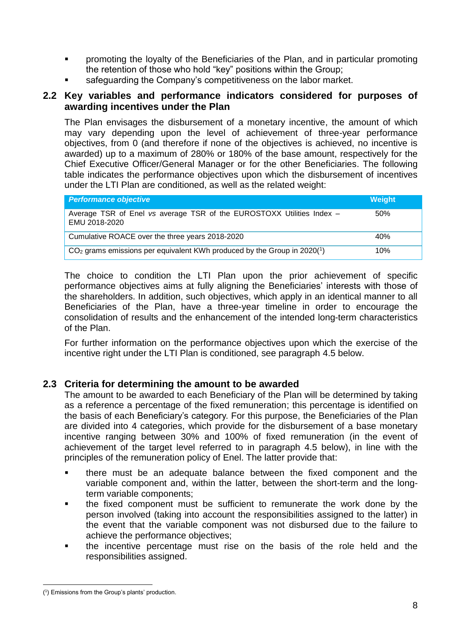- promoting the loyalty of the Beneficiaries of the Plan, and in particular promoting the retention of those who hold "key" positions within the Group;
- safeguarding the Company's competitiveness on the labor market.

#### <span id="page-7-0"></span>**2.2 Key variables and performance indicators considered for purposes of awarding incentives under the Plan**

The Plan envisages the disbursement of a monetary incentive, the amount of which may vary depending upon the level of achievement of three-year performance objectives, from 0 (and therefore if none of the objectives is achieved, no incentive is awarded) up to a maximum of 280% or 180% of the base amount, respectively for the Chief Executive Officer/General Manager or for the other Beneficiaries. The following table indicates the performance objectives upon which the disbursement of incentives under the LTI Plan are conditioned, as well as the related weight:

| <b>Performance objective</b>                                                           | <b>Weight</b> |
|----------------------------------------------------------------------------------------|---------------|
| Average TSR of Enel vs average TSR of the EUROSTOXX Utilities Index -<br>EMU 2018-2020 | 50%           |
| Cumulative ROACE over the three years 2018-2020                                        | 40%           |
| $CO2$ grams emissions per equivalent KWh produced by the Group in 2020(1)              | 10%           |

The choice to condition the LTI Plan upon the prior achievement of specific performance objectives aims at fully aligning the Beneficiaries' interests with those of the shareholders. In addition, such objectives, which apply in an identical manner to all Beneficiaries of the Plan, have a three-year timeline in order to encourage the consolidation of results and the enhancement of the intended long-term characteristics of the Plan.

For further information on the performance objectives upon which the exercise of the incentive right under the LTI Plan is conditioned, see paragraph 4.5 below.

# <span id="page-7-1"></span>**2.3 Criteria for determining the amount to be awarded**

The amount to be awarded to each Beneficiary of the Plan will be determined by taking as a reference a percentage of the fixed remuneration; this percentage is identified on the basis of each Beneficiary's category. For this purpose, the Beneficiaries of the Plan are divided into 4 categories, which provide for the disbursement of a base monetary incentive ranging between 30% and 100% of fixed remuneration (in the event of achievement of the target level referred to in paragraph 4.5 below), in line with the principles of the remuneration policy of Enel. The latter provide that:

- there must be an adequate balance between the fixed component and the variable component and, within the latter, between the short-term and the longterm variable components;
- the fixed component must be sufficient to remunerate the work done by the person involved (taking into account the responsibilities assigned to the latter) in the event that the variable component was not disbursed due to the failure to achieve the performance objectives;
- the incentive percentage must rise on the basis of the role held and the responsibilities assigned.

<sup>1</sup> ( 1 ) Emissions from the Group's plants' production.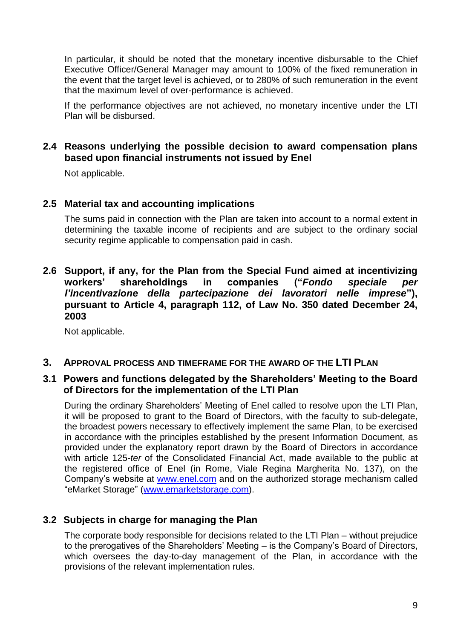In particular, it should be noted that the monetary incentive disbursable to the Chief Executive Officer/General Manager may amount to 100% of the fixed remuneration in the event that the target level is achieved, or to 280% of such remuneration in the event that the maximum level of over-performance is achieved.

If the performance objectives are not achieved, no monetary incentive under the LTI Plan will be disbursed.

#### <span id="page-8-0"></span>**2.4 Reasons underlying the possible decision to award compensation plans based upon financial instruments not issued by Enel**

Not applicable.

#### <span id="page-8-1"></span>**2.5 Material tax and accounting implications**

The sums paid in connection with the Plan are taken into account to a normal extent in determining the taxable income of recipients and are subject to the ordinary social security regime applicable to compensation paid in cash.

#### <span id="page-8-2"></span>**2.6 Support, if any, for the Plan from the Special Fund aimed at incentivizing workers' shareholdings in companies ("***Fondo speciale per l'incentivazione della partecipazione dei lavoratori nelle imprese***"), pursuant to Article 4, paragraph 112, of Law No. 350 dated December 24, 2003**

Not applicable.

#### <span id="page-8-3"></span>**3. APPROVAL PROCESS AND TIMEFRAME FOR THE AWARD OF THE LTI PLAN**

#### <span id="page-8-4"></span>**3.1 Powers and functions delegated by the Shareholders' Meeting to the Board of Directors for the implementation of the LTI Plan**

During the ordinary Shareholders' Meeting of Enel called to resolve upon the LTI Plan, it will be proposed to grant to the Board of Directors, with the faculty to sub-delegate, the broadest powers necessary to effectively implement the same Plan, to be exercised in accordance with the principles established by the present Information Document, as provided under the explanatory report drawn by the Board of Directors in accordance with article 125-*ter* of the Consolidated Financial Act, made available to the public at the registered office of Enel (in Rome, Viale Regina Margherita No. 137), on the Company's website at [www.enel.com](http://www.enel.com/) and on the authorized storage mechanism called "eMarket Storage" [\(www.emarketstorage.com\)](http://www.emarketstorage.com/).

#### <span id="page-8-5"></span>**3.2 Subjects in charge for managing the Plan**

The corporate body responsible for decisions related to the LTI Plan – without prejudice to the prerogatives of the Shareholders' Meeting – is the Company's Board of Directors, which oversees the day-to-day management of the Plan, in accordance with the provisions of the relevant implementation rules.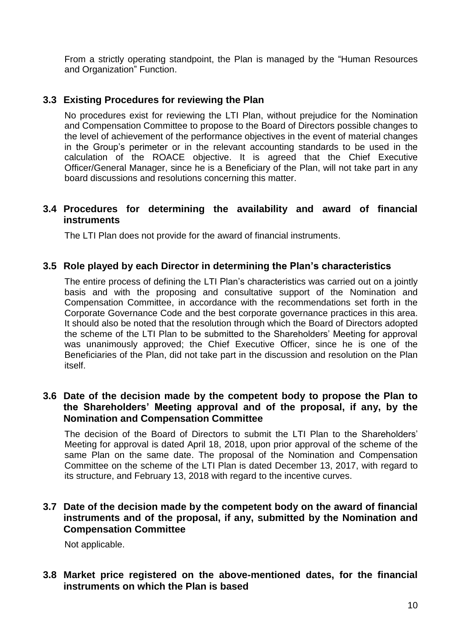From a strictly operating standpoint, the Plan is managed by the "Human Resources and Organization" Function.

# <span id="page-9-0"></span>**3.3 Existing Procedures for reviewing the Plan**

No procedures exist for reviewing the LTI Plan, without prejudice for the Nomination and Compensation Committee to propose to the Board of Directors possible changes to the level of achievement of the performance objectives in the event of material changes in the Group's perimeter or in the relevant accounting standards to be used in the calculation of the ROACE objective. It is agreed that the Chief Executive Officer/General Manager, since he is a Beneficiary of the Plan, will not take part in any board discussions and resolutions concerning this matter.

#### <span id="page-9-1"></span>**3.4 Procedures for determining the availability and award of financial instruments**

The LTI Plan does not provide for the award of financial instruments.

#### <span id="page-9-2"></span>**3.5 Role played by each Director in determining the Plan's characteristics**

The entire process of defining the LTI Plan's characteristics was carried out on a jointly basis and with the proposing and consultative support of the Nomination and Compensation Committee, in accordance with the recommendations set forth in the Corporate Governance Code and the best corporate governance practices in this area. It should also be noted that the resolution through which the Board of Directors adopted the scheme of the LTI Plan to be submitted to the Shareholders' Meeting for approval was unanimously approved; the Chief Executive Officer, since he is one of the Beneficiaries of the Plan, did not take part in the discussion and resolution on the Plan itself.

#### <span id="page-9-3"></span>**3.6 Date of the decision made by the competent body to propose the Plan to the Shareholders' Meeting approval and of the proposal, if any, by the Nomination and Compensation Committee**

The decision of the Board of Directors to submit the LTI Plan to the Shareholders' Meeting for approval is dated April 18, 2018, upon prior approval of the scheme of the same Plan on the same date. The proposal of the Nomination and Compensation Committee on the scheme of the LTI Plan is dated December 13, 2017, with regard to its structure, and February 13, 2018 with regard to the incentive curves.

#### <span id="page-9-4"></span>**3.7 Date of the decision made by the competent body on the award of financial instruments and of the proposal, if any, submitted by the Nomination and Compensation Committee**

Not applicable.

#### <span id="page-9-5"></span>**3.8 Market price registered on the above-mentioned dates, for the financial instruments on which the Plan is based**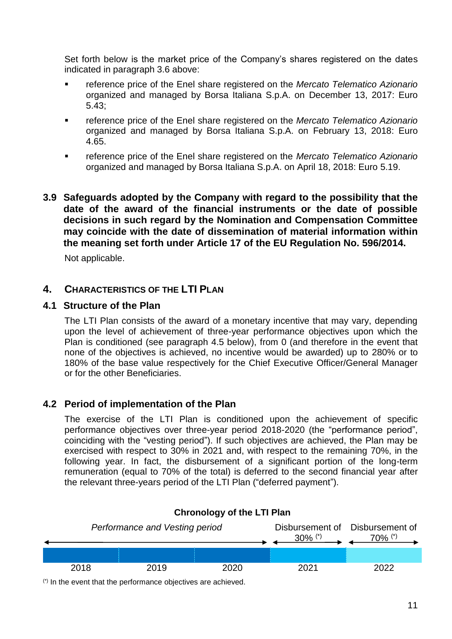Set forth below is the market price of the Company's shares registered on the dates indicated in paragraph 3.6 above:

- reference price of the Enel share registered on the *Mercato Telematico Azionario* organized and managed by Borsa Italiana S.p.A. on December 13, 2017: Euro 5.43;
- reference price of the Enel share registered on the *Mercato Telematico Azionario* organized and managed by Borsa Italiana S.p.A. on February 13, 2018: Euro 4.65.
- reference price of the Enel share registered on the *Mercato Telematico Azionario* organized and managed by Borsa Italiana S.p.A. on April 18, 2018: Euro 5.19.

#### <span id="page-10-0"></span>**3.9 Safeguards adopted by the Company with regard to the possibility that the date of the award of the financial instruments or the date of possible decisions in such regard by the Nomination and Compensation Committee may coincide with the date of dissemination of material information within the meaning set forth under Article 17 of the EU Regulation No. 596/2014.**

Not applicable.

# <span id="page-10-1"></span>**4. CHARACTERISTICS OF THE LTI PLAN**

#### <span id="page-10-2"></span>**4.1 Structure of the Plan**

The LTI Plan consists of the award of a monetary incentive that may vary, depending upon the level of achievement of three-year performance objectives upon which the Plan is conditioned (see paragraph 4.5 below), from 0 (and therefore in the event that none of the objectives is achieved, no incentive would be awarded) up to 280% or to 180% of the base value respectively for the Chief Executive Officer/General Manager or for the other Beneficiaries.

# <span id="page-10-3"></span>**4.2 Period of implementation of the Plan**

The exercise of the LTI Plan is conditioned upon the achievement of specific performance objectives over three-year period 2018-2020 (the "performance period", coinciding with the "vesting period"). If such objectives are achieved, the Plan may be exercised with respect to 30% in 2021 and, with respect to the remaining 70%, in the following year. In fact, the disbursement of a significant portion of the long-term remuneration (equal to 70% of the total) is deferred to the second financial year after the relevant three-years period of the LTI Plan ("deferred payment").



**Chronology of the LTI Plan**

(\*) In the event that the performance objectives are achieved.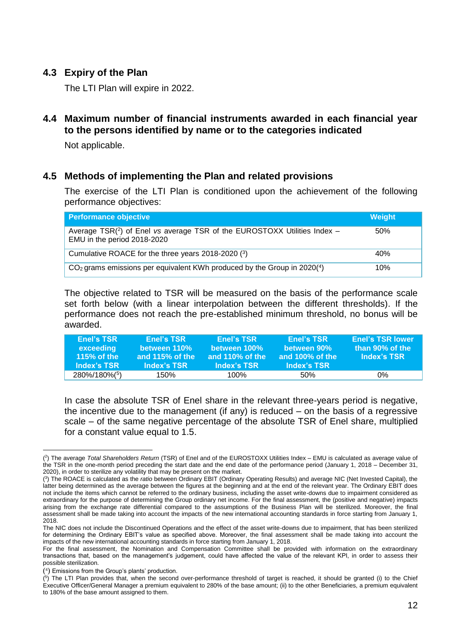# <span id="page-11-0"></span>**4.3 Expiry of the Plan**

The LTI Plan will expire in 2022.

# <span id="page-11-1"></span>**4.4 Maximum number of financial instruments awarded in each financial year to the persons identified by name or to the categories indicated**

Not applicable.

#### <span id="page-11-2"></span>**4.5 Methods of implementing the Plan and related provisions**

The exercise of the LTI Plan is conditioned upon the achievement of the following performance objectives:

| <b>Performance objective</b>                                                                              | Weight |
|-----------------------------------------------------------------------------------------------------------|--------|
| Average $TSR(2)$ of Enel vs average TSR of the EUROSTOXX Utilities Index –<br>EMU in the period 2018-2020 | .50%   |
| Cumulative ROACE for the three years 2018-2020 (3)                                                        | 40%    |
| $CO2$ grams emissions per equivalent KWh produced by the Group in 2020(4)                                 | 10%    |

The objective related to TSR will be measured on the basis of the performance scale set forth below (with a linear interpolation between the different thresholds). If the performance does not reach the pre-established minimum threshold, no bonus will be awarded.

| <b>Enel's TSR</b><br>exceeding<br>115% of the<br>Index's TSR | <b>Enel's TSR</b><br>between 110%<br>and 115% of the<br>Index's TSR | <b>Enel's TSR</b><br>between 100%<br>and 110% of the<br>Index's TSR | <b>Enel's TSR</b><br>between 90%<br>and 100% of the<br>Index's TSR | <b>Enel's TSR lower</b><br>than 90% of the<br>Index's TSR |
|--------------------------------------------------------------|---------------------------------------------------------------------|---------------------------------------------------------------------|--------------------------------------------------------------------|-----------------------------------------------------------|
| 280%/180%(5)                                                 | 150%                                                                | $100\%$                                                             | .50%                                                               | 0%                                                        |

In case the absolute TSR of Enel share in the relevant three-years period is negative, the incentive due to the management (if any) is reduced – on the basis of a regressive scale – of the same negative percentage of the absolute TSR of Enel share, multiplied for a constant value equal to 1.5.

<sup>&</sup>lt;u>.</u> ( 2 ) The average *Total Shareholders Return* (TSR) of Enel and of the EUROSTOXX Utilities Index – EMU is calculated as average value of the TSR in the one-month period preceding the start date and the end date of the performance period (January 1, 2018 – December 31, 2020), in order to sterilize any volatility that may be present on the market.

<sup>(</sup> 3 ) The ROACE is calculated as the *ratio* between Ordinary EBIT (Ordinary Operating Results) and average NIC (Net Invested Capital), the latter being determined as the average between the figures at the beginning and at the end of the relevant year. The Ordinary EBIT does not include the items which cannot be referred to the ordinary business, including the asset write-downs due to impairment considered as extraordinary for the purpose of determining the Group ordinary net income. For the final assessment, the (positive and negative) impacts arising from the exchange rate differential compared to the assumptions of the Business Plan will be sterilized. Moreover, the final assessment shall be made taking into account the impacts of the new international accounting standards in force starting from January 1, 2018.

The NIC does not include the Discontinued Operations and the effect of the asset write-downs due to impairment, that has been sterilized for determining the Ordinary EBIT's value as specified above. Moreover, the final assessment shall be made taking into account the impacts of the new international accounting standards in force starting from January 1, 2018.

For the final assessment, the Nomination and Compensation Committee shall be provided with information on the extraordinary transactions that, based on the management's judgement, could have affected the value of the relevant KPI, in order to assess their possible sterilization.

<sup>(</sup> 4 ) Emissions from the Group's plants' production.

 $(5)$  The LTI Plan provides that, when the second over-performance threshold of target is reached, it should be granted (i) to the Chief Executive Officer/General Manager a premium equivalent to 280% of the base amount; (ii) to the other Beneficiaries, a premium equivalent to 180% of the base amount assigned to them.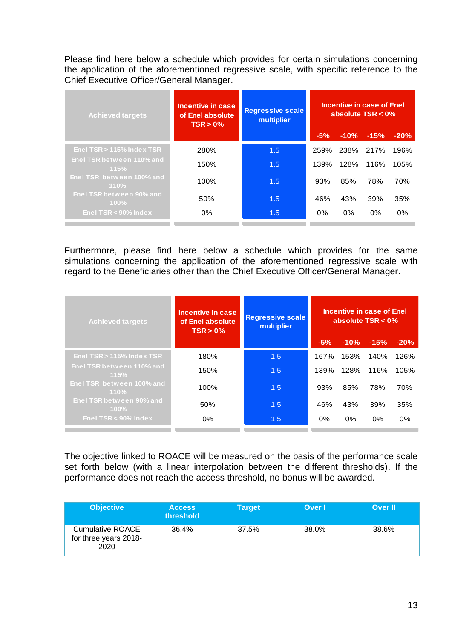Please find here below a schedule which provides for certain simulations concerning the application of the aforementioned regressive scale, with specific reference to the Chief Executive Officer/General Manager.

| <b>Achieved targets</b>             | <b>Incentive in case</b><br>of Enel absolute<br>TSR > 0% | <b>Regressive scale</b><br>multiplier | Incentive in case of Enel<br>absolute TSR < 0% |        |        |        |  |
|-------------------------------------|----------------------------------------------------------|---------------------------------------|------------------------------------------------|--------|--------|--------|--|
|                                     |                                                          |                                       | $-5%$                                          | $-10%$ | $-15%$ | $-20%$ |  |
| Enel TSR > 115% Index TSR           | 280%                                                     | 1.5                                   | 259%                                           | 238%   | 217%   | 196%   |  |
| Enel TSR between 110% and<br>115%   | 150%                                                     | 1.5                                   | 139%                                           | 128%   | 116%   | 105%   |  |
| Enel TSR between 100% and<br>110%   | 100%                                                     | 1.5                                   | 93%                                            | 85%    | 78%    | 70%    |  |
| Enel TSR between 90% and<br>$100\%$ | 50%                                                      | 1.5                                   | 46%                                            | 43%    | 39%    | 35%    |  |
| Enel TSR $<$ 90% Index              | 0%                                                       | 1.5                                   | 0%                                             | 0%     | 0%     | 0%     |  |

Furthermore, please find here below a schedule which provides for the same simulations concerning the application of the aforementioned regressive scale with regard to the Beneficiaries other than the Chief Executive Officer/General Manager.

| <b>Achieved targets</b>             | Incentive in case<br>of Enel absolute<br>$TSR > 0$ % | <b>Regressive scale</b><br>multiplier |       |        | Incentive in case of Enel<br>absolute $TSR < 0\%$ |        |
|-------------------------------------|------------------------------------------------------|---------------------------------------|-------|--------|---------------------------------------------------|--------|
|                                     |                                                      |                                       | $-5%$ | $-10%$ | $-15%$                                            | $-20%$ |
| Enel TSR $>$ 115% Index TSR         | 180%                                                 | 1.5                                   | 167%  | 153%   | 140%                                              | 126%   |
| Enel TSR between 110% and<br>115%   | 150%                                                 | 1.5                                   | 139%  | 128%   | 116%                                              | 105%   |
| Enel TSR between 100% and<br>110%   | 100%                                                 | 1.5                                   | 93%   | 85%    | 78%                                               | 70%    |
| Enel TSR between 90% and<br>$100\%$ | 50%                                                  | 1.5                                   | 46%   | 43%    | 39%                                               | 35%    |
| Enel $TSR < 90\%$ Index             | 0%                                                   | 1.5                                   | 0%    | 0%     | 0%                                                | 0%     |

The objective linked to ROACE will be measured on the basis of the performance scale set forth below (with a linear interpolation between the different thresholds). If the performance does not reach the access threshold, no bonus will be awarded.

| <b>Objective</b>                                         | <b>Access</b><br>threshold | Target | Over I | <b>Over II</b> |
|----------------------------------------------------------|----------------------------|--------|--------|----------------|
| <b>Cumulative ROACE</b><br>for three years 2018-<br>2020 | 36.4%                      | 37.5%  | 38.0%  | 38.6%          |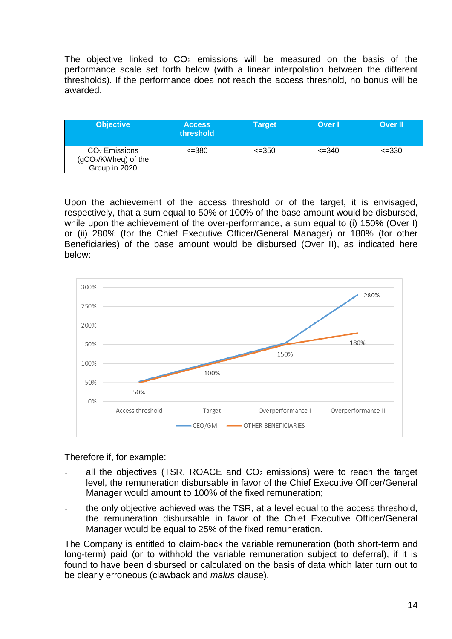The objective linked to  $CO<sub>2</sub>$  emissions will be measured on the basis of the performance scale set forth below (with a linear interpolation between the different thresholds). If the performance does not reach the access threshold, no bonus will be awarded.

| <b>Objective</b>                                          | <b>Access</b><br>threshold | <b>Target</b> | Over I     | <b>Over II</b> |
|-----------------------------------------------------------|----------------------------|---------------|------------|----------------|
| $CO2$ Emissions<br>$(gCO2/KWheq)$ of the<br>Group in 2020 | $\leq$ 380                 | $\leq$ -350   | $\leq$ 340 | $\leq$ -330    |

Upon the achievement of the access threshold or of the target, it is envisaged, respectively, that a sum equal to 50% or 100% of the base amount would be disbursed, while upon the achievement of the over-performance, a sum equal to (i) 150% (Over I) or (ii) 280% (for the Chief Executive Officer/General Manager) or 180% (for other Beneficiaries) of the base amount would be disbursed (Over II), as indicated here below:



Therefore if, for example:

- all the objectives (TSR, ROACE and  $CO<sub>2</sub>$  emissions) were to reach the target level, the remuneration disbursable in favor of the Chief Executive Officer/General Manager would amount to 100% of the fixed remuneration;
- the only objective achieved was the TSR, at a level equal to the access threshold, the remuneration disbursable in favor of the Chief Executive Officer/General Manager would be equal to 25% of the fixed remuneration.

The Company is entitled to claim-back the variable remuneration (both short-term and long-term) paid (or to withhold the variable remuneration subject to deferral), if it is found to have been disbursed or calculated on the basis of data which later turn out to be clearly erroneous (clawback and *malus* clause).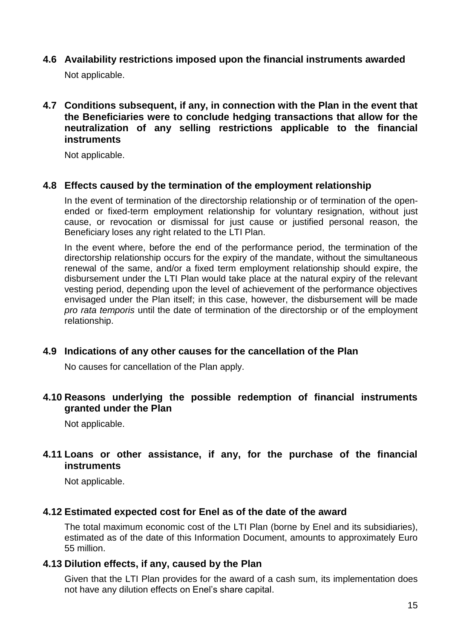- <span id="page-14-0"></span>**4.6 Availability restrictions imposed upon the financial instruments awarded**  Not applicable.
- <span id="page-14-1"></span>**4.7 Conditions subsequent, if any, in connection with the Plan in the event that the Beneficiaries were to conclude hedging transactions that allow for the neutralization of any selling restrictions applicable to the financial instruments**

Not applicable.

#### <span id="page-14-2"></span>**4.8 Effects caused by the termination of the employment relationship**

In the event of termination of the directorship relationship or of termination of the openended or fixed-term employment relationship for voluntary resignation, without just cause, or revocation or dismissal for just cause or justified personal reason, the Beneficiary loses any right related to the LTI Plan.

In the event where, before the end of the performance period, the termination of the directorship relationship occurs for the expiry of the mandate, without the simultaneous renewal of the same, and/or a fixed term employment relationship should expire, the disbursement under the LTI Plan would take place at the natural expiry of the relevant vesting period, depending upon the level of achievement of the performance objectives envisaged under the Plan itself; in this case, however, the disbursement will be made *pro rata temporis* until the date of termination of the directorship or of the employment relationship.

#### <span id="page-14-3"></span>**4.9 Indications of any other causes for the cancellation of the Plan**

No causes for cancellation of the Plan apply.

#### <span id="page-14-4"></span>**4.10 Reasons underlying the possible redemption of financial instruments granted under the Plan**

Not applicable.

#### <span id="page-14-5"></span>**4.11 Loans or other assistance, if any, for the purchase of the financial instruments**

Not applicable.

#### <span id="page-14-6"></span>**4.12 Estimated expected cost for Enel as of the date of the award**

The total maximum economic cost of the LTI Plan (borne by Enel and its subsidiaries), estimated as of the date of this Information Document, amounts to approximately Euro 55 million.

#### <span id="page-14-7"></span>**4.13 Dilution effects, if any, caused by the Plan**

Given that the LTI Plan provides for the award of a cash sum, its implementation does not have any dilution effects on Enel's share capital.